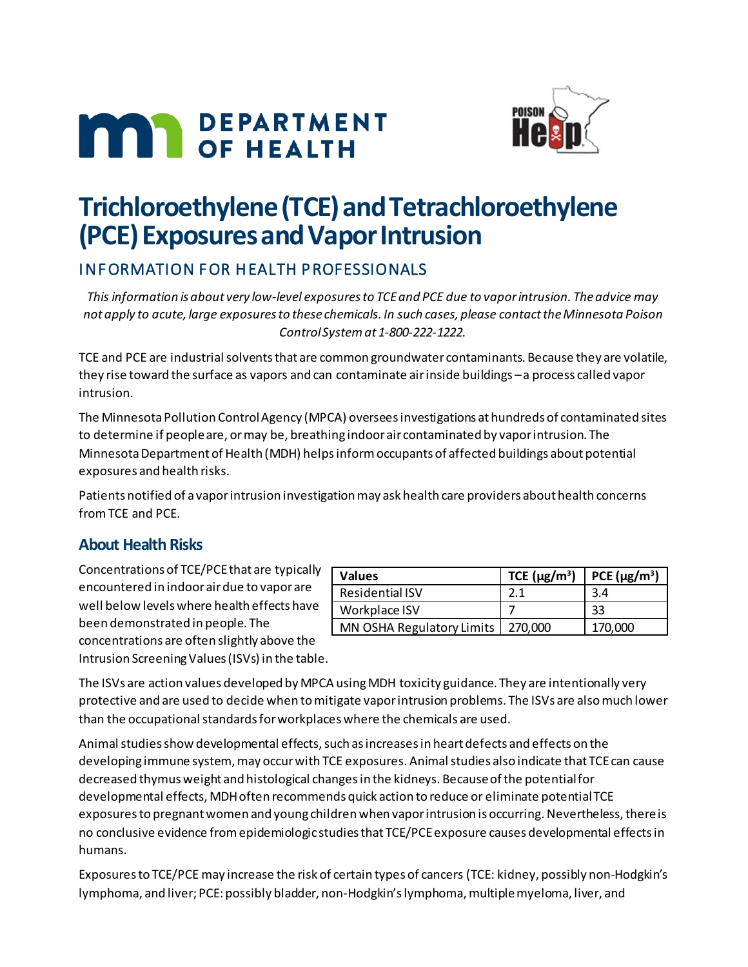# **MAN** DEPARTMENT



# **Trichloroethylene (TCE) and Tetrachloroethylene (PCE) Exposures and Vapor Intrusion**

# INFORMATION FOR HEALTH PROFESSIONALS

*This information is about very low-level exposures to TCE and PCE due to vapor intrusion. The advice may not apply to acute, large exposures to these chemicals. In such cases, please contact the Minnesota Poison Control System at 1-800-222-1222.*

TCE and PCE are industrial solvents that are common groundwater contaminants. Because they are volatile, they rise toward the surface as vapors and can contaminate air inside buildings – a process called vapor intrusion.

The Minnesota Pollution Control Agency (MPCA) oversees investigations at hundreds of contaminated sites to determine if people are, or may be, breathing indoor air contaminated by vapor intrusion. The Minnesota Department of Health (MDH) helps inform occupants of affected buildings about potential exposures and health risks.

Patients notified of a vapor intrusion investigation may ask health care providers about health concerns from TCE and PCE.

## **About Health Risks**

Concentrations of TCE/PCE that are typically encountered in indoor air due to vapor are well below levels where health effects have been demonstrated in people. The concentrations are often slightly above the Intrusion Screening Values (ISVs) in the table.

| <b>Values</b>             | TCE $(\mu g/m^3)$ | PCE $(\mu g/m^3)$ |
|---------------------------|-------------------|-------------------|
| <b>Residential ISV</b>    | 2.1               | 3.4               |
| Workplace ISV             |                   | 33                |
| MN OSHA Regulatory Limits | 270,000           | 170,000           |

The ISVs are action values developed by MPCA using MDH toxicity guidance. They are intentionally very protective and are used to decide when to mitigate vapor intrusion problems. The ISVs are also much lower than the occupational standards for workplaces where the chemicals are used.

Animalstudies show developmental effects, such as increases in heart defects and effects on the developing immune system, may occur with TCE exposures. Animal studies also indicate that TCE can cause decreased thymus weight and histological changes in the kidneys. Because of the potential for developmental effects, MDH often recommends quick action to reduce or eliminate potential TCE exposures to pregnant women and young children when vapor intrusion is occurring.Nevertheless, there is no conclusive evidence from epidemiologic studies that TCE/PCE exposure causes developmental effects in humans.

Exposures to TCE/PCE may increase the risk of certain types of cancers (TCE: kidney, possibly non-Hodgkin's lymphoma, and liver; PCE: possibly bladder, non-Hodgkin's lymphoma, multiple myeloma, liver, and